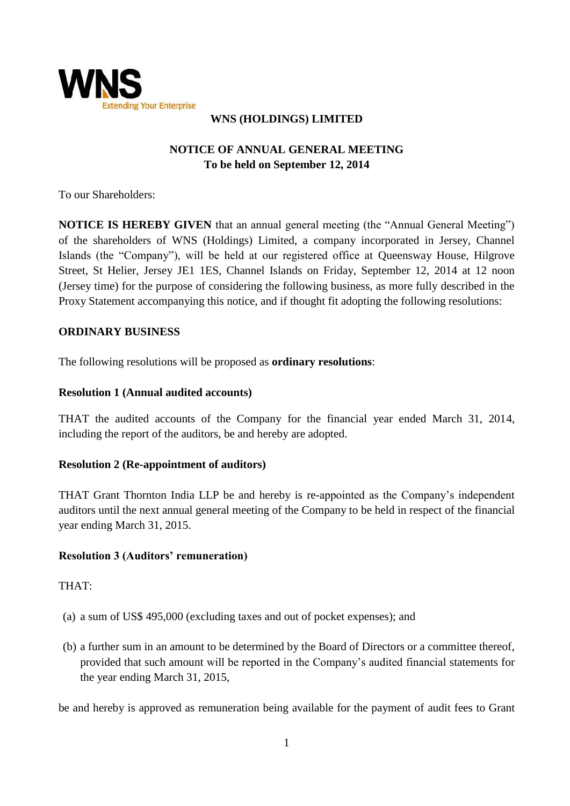

## **WNS (HOLDINGS) LIMITED**

# **NOTICE OF ANNUAL GENERAL MEETING To be held on September 12, 2014**

To our Shareholders:

**NOTICE IS HEREBY GIVEN** that an annual general meeting (the "Annual General Meeting") of the shareholders of WNS (Holdings) Limited, a company incorporated in Jersey, Channel Islands (the "Company"), will be held at our registered office at Queensway House, Hilgrove Street, St Helier, Jersey JE1 1ES, Channel Islands on Friday, September 12, 2014 at 12 noon (Jersey time) for the purpose of considering the following business, as more fully described in the Proxy Statement accompanying this notice, and if thought fit adopting the following resolutions:

## **ORDINARY BUSINESS**

The following resolutions will be proposed as **ordinary resolutions**:

### **Resolution 1 (Annual audited accounts)**

THAT the audited accounts of the Company for the financial year ended March 31, 2014, including the report of the auditors, be and hereby are adopted.

## **Resolution 2 (Re-appointment of auditors)**

THAT Grant Thornton India LLP be and hereby is re-appointed as the Company's independent auditors until the next annual general meeting of the Company to be held in respect of the financial year ending March 31, 2015.

## **Resolution 3 (Auditors' remuneration)**

THAT:

- (a) a sum of US\$ 495,000 (excluding taxes and out of pocket expenses); and
- (b) a further sum in an amount to be determined by the Board of Directors or a committee thereof, provided that such amount will be reported in the Company's audited financial statements for the year ending March 31, 2015,

be and hereby is approved as remuneration being available for the payment of audit fees to Grant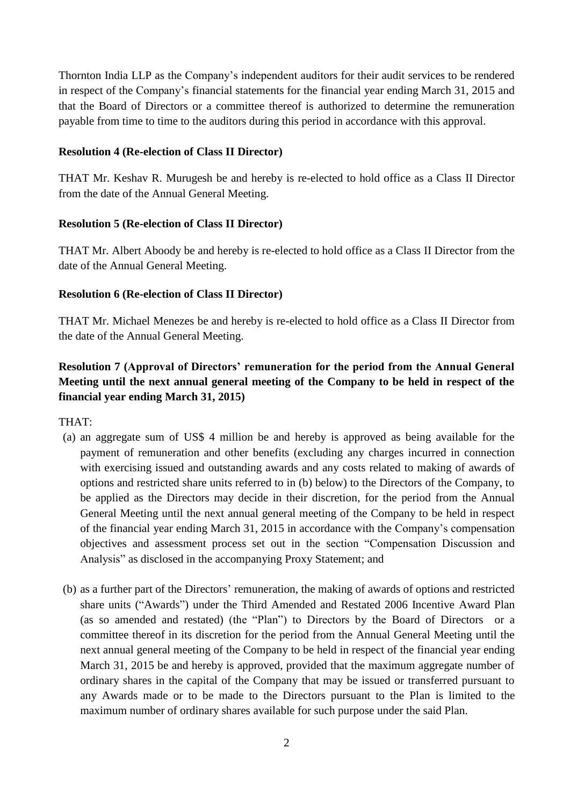Thornton India LLP as the Company's independent auditors for their audit services to be rendered in respect of the Company's financial statements for the financial year ending March 31, 2015 and that the Board of Directors or a committee thereof is authorized to determine the remuneration payable from time to time to the auditors during this period in accordance with this approval.

#### **Resolution 4 (Re-election of Class II Director)**

THAT Mr. Keshav R. Murugesh be and hereby is re-elected to hold office as a Class II Director from the date of the Annual General Meeting.

## **Resolution 5 (Re-election of Class II Director)**

THAT Mr. Albert Aboody be and hereby is re-elected to hold office as a Class II Director from the date of the Annual General Meeting.

### **Resolution 6 (Re-election of Class II Director)**

THAT Mr. Michael Menezes be and hereby is re-elected to hold office as a Class II Director from the date of the Annual General Meeting.

## **Resolution 7 (Approval of Directors' remuneration for the period from the Annual General Meeting until the next annual general meeting of the Company to be held in respect of the financial year ending March 31, 2015)**

THAT:

- (a) an aggregate sum of US\$ 4 million be and hereby is approved as being available for the payment of remuneration and other benefits (excluding any charges incurred in connection with exercising issued and outstanding awards and any costs related to making of awards of options and restricted share units referred to in (b) below) to the Directors of the Company, to be applied as the Directors may decide in their discretion, for the period from the Annual General Meeting until the next annual general meeting of the Company to be held in respect of the financial year ending March 31, 2015 in accordance with the Company's compensation objectives and assessment process set out in the section "Compensation Discussion and Analysis" as disclosed in the accompanying Proxy Statement; and
- (b) as a further part of the Directors' remuneration, the making of awards of options and restricted share units ("Awards") under the Third Amended and Restated 2006 Incentive Award Plan (as so amended and restated) (the "Plan") to Directors by the Board of Directors or a committee thereof in its discretion for the period from the Annual General Meeting until the next annual general meeting of the Company to be held in respect of the financial year ending March 31, 2015 be and hereby is approved, provided that the maximum aggregate number of ordinary shares in the capital of the Company that may be issued or transferred pursuant to any Awards made or to be made to the Directors pursuant to the Plan is limited to the maximum number of ordinary shares available for such purpose under the said Plan.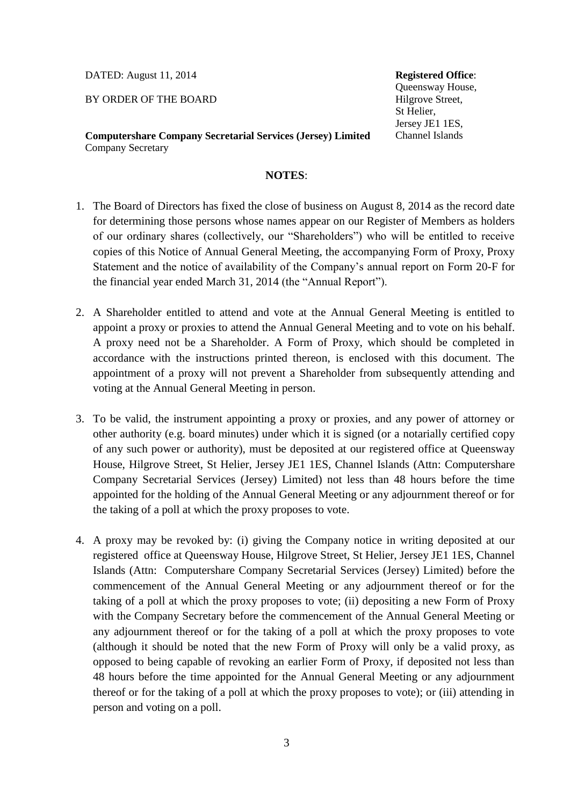DATED: August 11, 2014

BY ORDER OF THE BOARD

**Computershare Company Secretarial Services (Jersey) Limited** Company Secretary

#### **NOTES**:

- 1. The Board of Directors has fixed the close of business on August 8, 2014 as the record date for determining those persons whose names appear on our Register of Members as holders of our ordinary shares (collectively, our "Shareholders") who will be entitled to receive copies of this Notice of Annual General Meeting, the accompanying Form of Proxy, Proxy Statement and the notice of availability of the Company's annual report on Form 20-F for the financial year ended March 31, 2014 (the "Annual Report").
- 2. A Shareholder entitled to attend and vote at the Annual General Meeting is entitled to appoint a proxy or proxies to attend the Annual General Meeting and to vote on his behalf. A proxy need not be a Shareholder. A Form of Proxy, which should be completed in accordance with the instructions printed thereon, is enclosed with this document. The appointment of a proxy will not prevent a Shareholder from subsequently attending and voting at the Annual General Meeting in person.
- 3. To be valid, the instrument appointing a proxy or proxies, and any power of attorney or other authority (e.g. board minutes) under which it is signed (or a notarially certified copy of any such power or authority), must be deposited at our registered office at Queensway House, Hilgrove Street, St Helier, Jersey JE1 1ES, Channel Islands (Attn: Computershare Company Secretarial Services (Jersey) Limited) not less than 48 hours before the time appointed for the holding of the Annual General Meeting or any adjournment thereof or for the taking of a poll at which the proxy proposes to vote.
- 4. A proxy may be revoked by: (i) giving the Company notice in writing deposited at our registered office at Queensway House, Hilgrove Street, St Helier, Jersey JE1 1ES, Channel Islands (Attn: Computershare Company Secretarial Services (Jersey) Limited) before the commencement of the Annual General Meeting or any adjournment thereof or for the taking of a poll at which the proxy proposes to vote; (ii) depositing a new Form of Proxy with the Company Secretary before the commencement of the Annual General Meeting or any adjournment thereof or for the taking of a poll at which the proxy proposes to vote (although it should be noted that the new Form of Proxy will only be a valid proxy, as opposed to being capable of revoking an earlier Form of Proxy, if deposited not less than 48 hours before the time appointed for the Annual General Meeting or any adjournment thereof or for the taking of a poll at which the proxy proposes to vote); or (iii) attending in person and voting on a poll.

**Registered Office**: Queensway House, Hilgrove Street, St Helier, Jersey JE1 1ES, Channel Islands